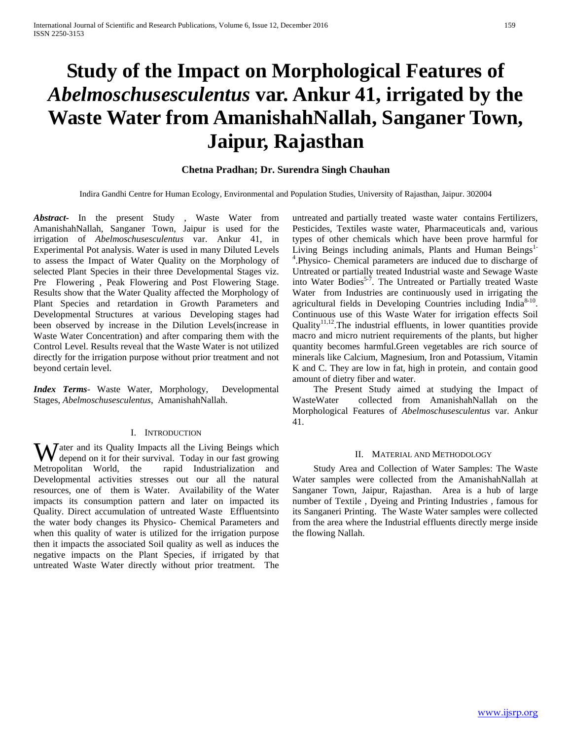# **Study of the Impact on Morphological Features of**  *Abelmoschusesculentus* **var. Ankur 41, irrigated by the Waste Water from AmanishahNallah, Sanganer Town, Jaipur, Rajasthan**

## **Chetna Pradhan; Dr. Surendra Singh Chauhan**

Indira Gandhi Centre for Human Ecology, Environmental and Population Studies, University of Rajasthan, Jaipur. 302004

*Abstract***-** In the present Study , Waste Water from AmanishahNallah, Sanganer Town, Jaipur is used for the irrigation of *Abelmoschusesculentus* var. Ankur 41, in Experimental Pot analysis. Water is used in many Diluted Levels to assess the Impact of Water Quality on the Morphology of selected Plant Species in their three Developmental Stages viz. Pre Flowering , Peak Flowering and Post Flowering Stage. Results show that the Water Quality affected the Morphology of Plant Species and retardation in Growth Parameters and Developmental Structures at various Developing stages had been observed by increase in the Dilution Levels(increase in Waste Water Concentration) and after comparing them with the Control Level. Results reveal that the Waste Water is not utilized directly for the irrigation purpose without prior treatment and not beyond certain level.

*Index Terms*- Waste Water, Morphology, Developmental Stages, *Abelmoschusesculentus*, AmanishahNallah.

## I. INTRODUCTION

Water and its Quality Impacts all the Living Beings which depend on it for their survival. Today in our fast growing depend on it for their survival. Today in our fast growing Metropolitan World, the rapid Industrialization and Developmental activities stresses out our all the natural resources, one of them is Water. Availability of the Water impacts its consumption pattern and later on impacted its Quality. Direct accumulation of untreated Waste Effluentsinto the water body changes its Physico- Chemical Parameters and when this quality of water is utilized for the irrigation purpose then it impacts the associated Soil quality as well as induces the negative impacts on the Plant Species, if irrigated by that untreated Waste Water directly without prior treatment. The

untreated and partially treated waste water contains Fertilizers, Pesticides, Textiles waste water, Pharmaceuticals and, various types of other chemicals which have been prove harmful for Living Beings including animals, Plants and Human Beings<sup>1-</sup> 4 .Physico- Chemical parameters are induced due to discharge of Untreated or partially treated Industrial waste and Sewage Waste into Water Bodies<sup>5-7</sup>. The Untreated or Partially treated Waste Water from Industries are continuously used in irrigating the agricultural fields in Developing Countries including India<sup>8-10</sup>. Continuous use of this Waste Water for irrigation effects Soil Quality<sup>11,12</sup>. The industrial effluents, in lower quantities provide macro and micro nutrient requirements of the plants, but higher quantity becomes harmful.Green vegetables are rich source of minerals like Calcium, Magnesium, Iron and Potassium, Vitamin K and C. They are low in fat, high in protein, and contain good amount of dietry fiber and water.

The Present Study aimed at studying the Impact of WasteWater collected from AmanishahNallah on the collected from AmanishahNallah on the Morphological Features of *Abelmoschusesculentus* var. Ankur 41.

#### II. MATERIAL AND METHODOLOGY

 Study Area and Collection of Water Samples: The Waste Water samples were collected from the AmanishahNallah at Sanganer Town, Jaipur, Rajasthan. Area is a hub of large number of Textile , Dyeing and Printing Industries , famous for its Sanganeri Printing. The Waste Water samples were collected from the area where the Industrial effluents directly merge inside the flowing Nallah.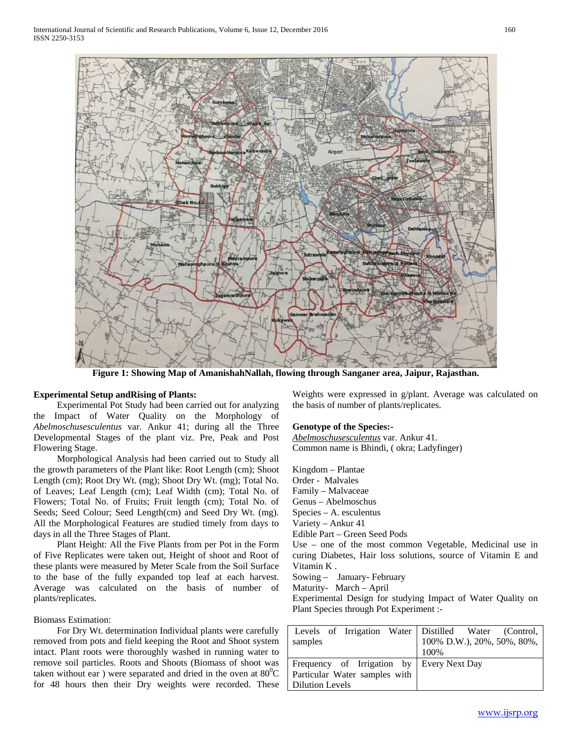

**Figure 1: Showing Map of AmanishahNallah, flowing through Sanganer area, Jaipur, Rajasthan.**

## **Experimental Setup andRising of Plants:**

 Experimental Pot Study had been carried out for analyzing the Impact of Water Quality on the Morphology of *Abelmoschusesculentus* var. Ankur 41; during all the Three Developmental Stages of the plant viz. Pre, Peak and Post Flowering Stage.

 Morphological Analysis had been carried out to Study all the growth parameters of the Plant like: Root Length (cm); Shoot Length (cm); Root Dry Wt. (mg); Shoot Dry Wt. (mg); Total No. of Leaves; Leaf Length (cm); Leaf Width (cm); Total No. of Flowers; Total No. of Fruits; Fruit length (cm); Total No. of Seeds; Seed Colour; Seed Length(cm) and Seed Dry Wt. (mg). All the Morphological Features are studied timely from days to days in all the Three Stages of Plant.

 Plant Height: All the Five Plants from per Pot in the Form of Five Replicates were taken out, Height of shoot and Root of these plants were measured by Meter Scale from the Soil Surface to the base of the fully expanded top leaf at each harvest. Average was calculated on the basis of number of plants/replicates.

## Biomass Estimation:

 For Dry Wt. determination Individual plants were carefully removed from pots and field keeping the Root and Shoot system intact. Plant roots were thoroughly washed in running water to remove soil particles. Roots and Shoots (Biomass of shoot was taken without ear) were separated and dried in the oven at  $80^0C$ for 48 hours then their Dry weights were recorded. These

Weights were expressed in g/plant. Average was calculated on the basis of number of plants/replicates.

### **Genotype of the Species:-**

*Abelmoschusesculentus* var. Ankur 41. Common name is Bhindi, ( okra; Ladyfinger)

Kingdom – Plantae Order - Malvales Family – Malvaceae Genus – Abelmoschus Species – A. esculentus Variety – Ankur 41 Edible Part – Green Seed Pods Use – one of the most common Vegetable, Medicinal use in curing Diabetes, Hair loss solutions, source of Vitamin E and Vitamin K .

Sowing – January- February

Maturity- March – April

Experimental Design for studying Impact of Water Quality on Plant Species through Pot Experiment :-

|                                           | Levels of Irrigation Water Distilled Water (Control, |  |  |  |
|-------------------------------------------|------------------------------------------------------|--|--|--|
| samples                                   | 100% D.W.), 20%, 50%, 80%,                           |  |  |  |
|                                           | 100%                                                 |  |  |  |
| Frequency of Irrigation by Every Next Day |                                                      |  |  |  |
| Particular Water samples with             |                                                      |  |  |  |
| <b>Dilution Levels</b>                    |                                                      |  |  |  |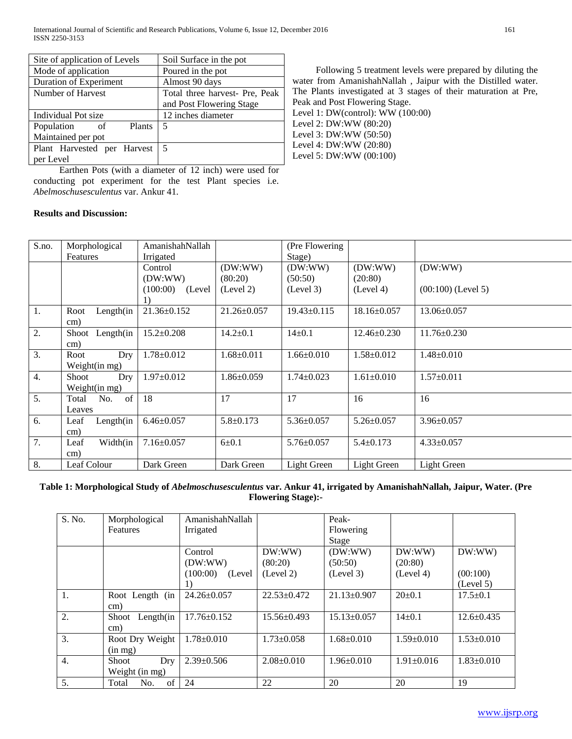| Site of application of Levels | Soil Surface in the pot        |  |  |
|-------------------------------|--------------------------------|--|--|
| Mode of application           | Poured in the pot              |  |  |
| Duration of Experiment        | Almost 90 days                 |  |  |
| Number of Harvest             | Total three harvest- Pre, Peak |  |  |
|                               | and Post Flowering Stage       |  |  |
| Individual Pot size           | 12 inches diameter             |  |  |
| Population<br>Plants<br>of    | 5                              |  |  |
| Maintained per pot            |                                |  |  |
| Plant Harvested per Harvest   | 5                              |  |  |
| per Level                     |                                |  |  |

 Earthen Pots (with a diameter of 12 inch) were used for conducting pot experiment for the test Plant species i.e. *Abelmoschusesculentus* var. Ankur 41.

 Following 5 treatment levels were prepared by diluting the water from AmanishahNallah , Jaipur with the Distilled water. The Plants investigated at 3 stages of their maturation at Pre, Peak and Post Flowering Stage. Level 1: DW(control): WW (100:00) Level 2: DW:WW (80:20) Level 3: DW:WW (50:50) Level 4: DW:WW (20:80)

Level 5: DW:WW (00:100)

S.no. Morphological Features AmanishahNallah Irrigated (Pre Flowering Stage) Control (DW:WW) (100:00) (Level 1) (DW:WW) (80:20) (Level 2) (DW:WW) (50:50) (Level 3) (DW:WW) (20:80) (Level 4) (DW:WW) (00:100) (Level 5) 1. Root Length(in cm) 21.36±0.152 21.26±0.057 19.43±0.115 18.16±0.057 13.06±0.057 2. Shoot Length(in cm)  $15.2\pm0.208$  14.2 $\pm0.1$  14 $\pm0.1$  12.46 $\pm0.230$  11.76 $\pm0.230$ 3. Root Dry Weight(in mg) 1.78±0.012 1.68±0.011 1.66±0.010 1.58±0.012 1.48±0.010 4. Shoot Dry Weight(in mg) 1.97±0.012 1.86±0.059 1.74±0.023 1.61±0.010 1.57±0.011 5. Total No. of Leaves 18 | 17 | 17 | 16 | 16 6. Leaf Length(in cm) 6.46±0.057 5.8±0.173 5.36±0.057 5.26±0.057 3.96±0.057 7. Leaf Width(in cm) 7.16±0.057 6±0.1 5.76±0.057 5.4±0.173 4.33±0.057 8. | Leaf Colour | Dark Green | Dark Green | Light Green | Light Green | Light Green

## **Results and Discussion:**

## **Table 1: Morphological Study of** *Abelmoschusesculentus* **var. Ankur 41, irrigated by AmanishahNallah, Jaipur, Water. (Pre Flowering Stage):-**

| S. No.           | Morphological         | AmanishahNallah     |                   | Peak-             |                  |                  |
|------------------|-----------------------|---------------------|-------------------|-------------------|------------------|------------------|
|                  | <b>Features</b>       | Irrigated           |                   | Flowering         |                  |                  |
|                  |                       |                     |                   | Stage             |                  |                  |
|                  |                       | Control             | DW:WW)            | (DW:WW)           | DW:WW)           | DW:WW)           |
|                  |                       | (DW:WW)             | (80:20)           | (50:50)           | (20:80)          |                  |
|                  |                       | (100:00)<br>(Level) | (Level 2)         | (Level 3)         | (Level 4)        | (00:100)         |
|                  |                       | 1)                  |                   |                   |                  | (Level 5)        |
| 1.               | Root Length (in       | 24.26±0.057         | $22.53+0.472$     | $21.13 \pm 0.907$ | $20+0.1$         | $17.5 \pm 0.1$   |
|                  | cm)                   |                     |                   |                   |                  |                  |
| 2.               | Length $(in$<br>Shoot | $17.76 \pm 0.152$   | $15.56 \pm 0.493$ | $15.13 \pm 0.057$ | $14+0.1$         | $12.6 \pm 0.435$ |
|                  | cm)                   |                     |                   |                   |                  |                  |
| 3.               | Root Dry Weight       | $1.78 \pm 0.010$    | $1.73 \pm 0.058$  | $1.68 \pm 0.010$  | $1.59 \pm 0.010$ | $1.53 \pm 0.010$ |
|                  | $(in \, mg)$          |                     |                   |                   |                  |                  |
| $\overline{4}$ . | Shoot<br>Dry          | $2.39 \pm 0.506$    | $2.08 \pm 0.010$  | $1.96 \pm 0.010$  | $1.91 \pm 0.016$ | $1.83 \pm 0.010$ |
|                  | Weight (in mg)        |                     |                   |                   |                  |                  |
| 5.               | No.<br>of<br>Total    | 24                  | 22                | 20                | 20               | 19               |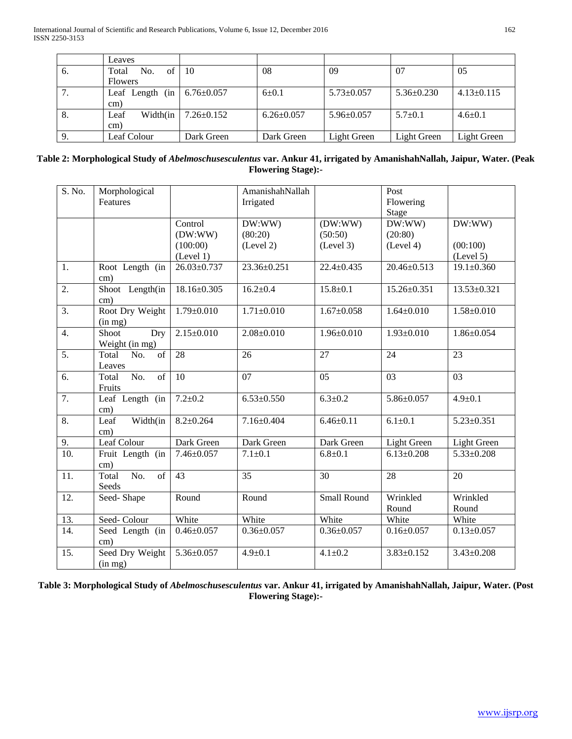|    | Leaves             |                  |                  |                  |                  |                  |
|----|--------------------|------------------|------------------|------------------|------------------|------------------|
| 6. | No.<br>of<br>Total | -10              | 08               | 09               | 07               | 05               |
|    | <b>Flowers</b>     |                  |                  |                  |                  |                  |
|    | Leaf Length (in    | $6.76 \pm 0.057$ | $6 + 0.1$        | $5.73 \pm 0.057$ | $5.36 \pm 0.230$ | $4.13 \pm 0.115$ |
|    | cm)                |                  |                  |                  |                  |                  |
| 8. | Width(in<br>Leaf   | $7.26 \pm 0.152$ | $6.26 \pm 0.057$ | $5.96 \pm 0.057$ | $5.7+0.1$        | $4.6 \pm 0.1$    |
|    | cm)                |                  |                  |                  |                  |                  |
|    | Leaf Colour        | Dark Green       | Dark Green       | Light Green      | Light Green      | Light Green      |

# **Table 2: Morphological Study of** *Abelmoschusesculentus* **var. Ankur 41, irrigated by AmanishahNallah, Jaipur, Water. (Peak Flowering Stage):-**

| S. No.            | Morphological                   |                   | AmanishahNallah  |                    | Post              |                  |
|-------------------|---------------------------------|-------------------|------------------|--------------------|-------------------|------------------|
|                   | Features                        |                   | Irrigated        |                    | Flowering         |                  |
|                   |                                 |                   |                  |                    | Stage             |                  |
|                   |                                 | Control           | DW:WW)           | (DW:WW)            | DW:WW             | DW:WW)           |
|                   |                                 | (DW:WW)           | (80:20)          | (50:50)            | (20:80)           |                  |
|                   |                                 | (100:00)          | (Level 2)        | (Level 3)          | (Level 4)         | (00:100)         |
|                   |                                 | (Level 1)         |                  |                    |                   | (Level 5)        |
| $\overline{1}$ .  | Root Length (in<br>cm)          | $26.03 \pm 0.737$ | 23.36±0.251      | $22.4 \pm 0.435$   | 20.46±0.513       | $19.1 \pm 0.360$ |
| 2.                | Shoot Length(in<br>cm)          | 18.16±0.305       | $16.2 \pm 0.4$   | $15.8 \pm 0.1$     | $15.26 \pm 0.351$ | 13.53±0.321      |
| $\overline{3}$ .  | Root Dry Weight                 | $1.79 \pm 0.010$  | $1.71 \pm 0.010$ | $1.67 \pm 0.058$   | $1.64 \pm 0.010$  | $1.58 \pm 0.010$ |
|                   | (in mg)                         |                   |                  |                    |                   |                  |
| 4.                | Shoot<br>Dry                    | $2.15 \pm 0.010$  | $2.08 \pm 0.010$ | $1.96 \pm 0.010$   | $1.93 \pm 0.010$  | $1.86 \pm 0.054$ |
|                   | Weight (in mg)                  |                   |                  |                    |                   |                  |
| $\overline{5}$ .  | of<br>Total<br>No.              | 28                | 26               | 27                 | 24                | 23               |
|                   | Leaves                          |                   |                  |                    |                   |                  |
| 6.                | No.<br>of<br>Total              | 10                | 07               | $\overline{05}$    | 03                | 03               |
|                   | Fruits                          |                   |                  |                    |                   |                  |
| $\overline{7}$ .  | Leaf Length (in<br>cm)          | $7.2 \pm 0.2$     | $6.53 \pm 0.550$ | $6.3 \pm 0.2$      | $5.86 \pm 0.057$  | $4.9 \pm 0.1$    |
| 8.                | Width(in<br>Leaf                | $8.2 \pm 0.264$   | $7.16 \pm 0.404$ | $6.46 \pm 0.11$    | $6.1 + 0.1$       | $5.23 \pm 0.351$ |
|                   | $\rm cm)$                       |                   |                  |                    |                   |                  |
| 9.                | Leaf Colour                     | Dark Green        | Dark Green       | Dark Green         | Light Green       | Light Green      |
| $\overline{10}$ . | Fruit Length (in                | $7.46 \pm 0.057$  | $7.1 + 0.1$      | $6.8 + 0.1$        | $6.13 \pm 0.208$  | $5.33 \pm 0.208$ |
|                   | $\text{cm}$ )                   |                   |                  |                    |                   |                  |
| 11.               | $\overline{No.}$<br>of<br>Total | $\overline{43}$   | $\overline{35}$  | 30                 | 28                | 20               |
|                   | Seeds                           |                   |                  |                    |                   |                  |
| 12.               | Seed-Shape                      | Round             | Round            | <b>Small Round</b> | Wrinkled          | Wrinkled         |
|                   |                                 |                   |                  |                    | Round             | Round            |
| 13.               | Seed-Colour                     | White             | White            | White              | White             | White            |
| 14.               | Seed Length (in                 | $0.46 \pm 0.057$  | $0.36 \pm 0.057$ | $0.36 \pm 0.057$   | $0.16 \pm 0.057$  | $0.13 \pm 0.057$ |
|                   | cm)                             |                   |                  |                    |                   |                  |
| 15.               | Seed Dry Weight                 | $5.36 \pm 0.057$  | $4.9 \pm 0.1$    | $4.1 \pm 0.2$      | $3.83 \pm 0.152$  | $3.43 \pm 0.208$ |
|                   | (in mg)                         |                   |                  |                    |                   |                  |

**Table 3: Morphological Study of** *Abelmoschusesculentus* **var. Ankur 41, irrigated by AmanishahNallah, Jaipur, Water. (Post Flowering Stage):-**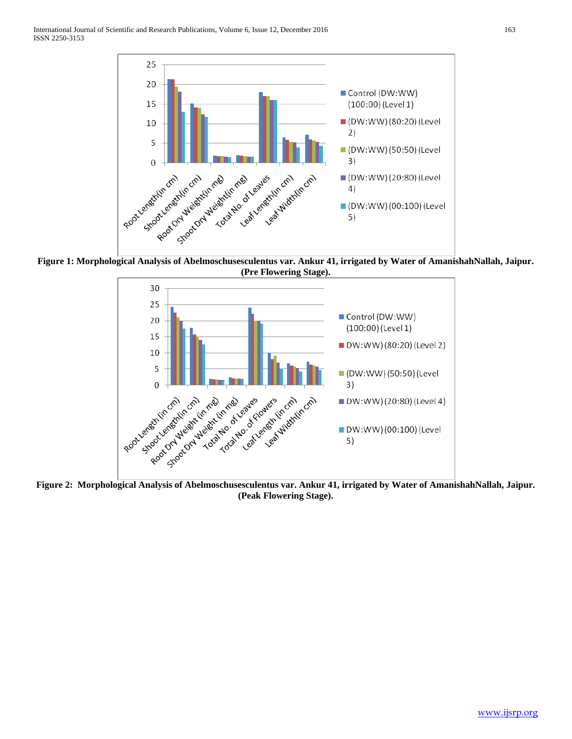

**Figure 1: Morphological Analysis of Abelmoschusesculentus var. Ankur 41, irrigated by Water of AmanishahNallah, Jaipur. (Pre Flowering Stage).**



**Figure 2: Morphological Analysis of Abelmoschusesculentus var. Ankur 41, irrigated by Water of AmanishahNallah, Jaipur. (Peak Flowering Stage).**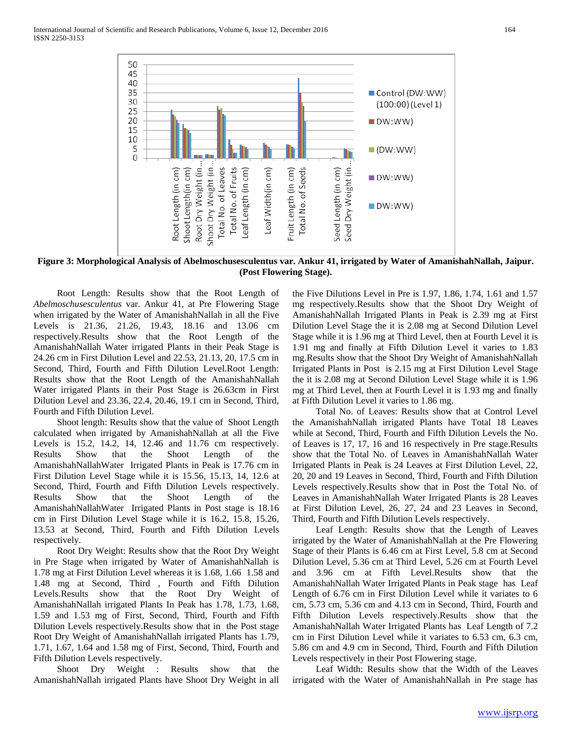

**Figure 3: Morphological Analysis of Abelmoschusesculentus var. Ankur 41, irrigated by Water of AmanishahNallah, Jaipur. (Post Flowering Stage).**

 Root Length: Results show that the Root Length of *Abelmoschusesculentus* var. Ankur 41, at Pre Flowering Stage when irrigated by the Water of AmanishahNallah in all the Five Levels is 21.36, 21.26, 19.43, 18.16 and 13.06 cm respectively.Results show that the Root Length of the AmanishahNallah Water irrigated Plants in their Peak Stage is 24.26 cm in First Dilution Level and 22.53, 21.13, 20, 17.5 cm in Second, Third, Fourth and Fifth Dilution Level.Root Length: Results show that the Root Length of the AmanishahNallah Water irrigated Plants in their Post Stage is 26.63cm in First Dilution Level and 23.36, 22.4, 20.46, 19.1 cm in Second, Third, Fourth and Fifth Dilution Level.

 Shoot length: Results show that the value of Shoot Length calculated when irrigated by AmanishahNallah at all the Five Levels is 15.2, 14.2, 14, 12.46 and 11.76 cm respectively. Results Show that the Shoot Length of the AmanishahNallahWater Irrigated Plants in Peak is 17.76 cm in First Dilution Level Stage while it is 15.56, 15.13, 14, 12.6 at Second, Third, Fourth and Fifth Dilution Levels respectively. Results Show that the Shoot Length of the AmanishahNallahWater Irrigated Plants in Post stage is 18.16 cm in First Dilution Level Stage while it is 16.2, 15.8, 15.26, 13.53 at Second, Third, Fourth and Fifth Dilution Levels respectively.

 Root Dry Weight: Results show that the Root Dry Weight in Pre Stage when irrigated by Water of AmanishahNallah is 1.78 mg at First Dilution Level whereas it is 1.68, 1.66 1.58 and 1.48 mg at Second, Third , Fourth and Fifth Dilution Levels.Results show that the Root Dry Weight of AmanishahNallah irrigated Plants In Peak has 1.78, 1.73, 1.68, 1.59 and 1.53 mg of First, Second, Third, Fourth and Fifth Dilution Levels respectively.Results show that in the Post stage Root Dry Weight of AmanishahNallah irrigated Plants has 1.79, 1.71, 1.67, 1.64 and 1.58 mg of First, Second, Third, Fourth and Fifth Dilution Levels respectively.

 Shoot Dry Weight : Results show that the AmanishahNallah irrigated Plants have Shoot Dry Weight in all the Five Dilutions Level in Pre is 1.97, 1.86, 1.74, 1.61 and 1.57 mg respectively.Results show that the Shoot Dry Weight of AmanishahNallah Irrigated Plants in Peak is 2.39 mg at First Dilution Level Stage the it is 2.08 mg at Second Dilution Level Stage while it is 1.96 mg at Third Level, then at Fourth Level it is 1.91 mg and finally at Fifth Dilution Level it varies to 1.83 mg.Results show that the Shoot Dry Weight of AmanishahNallah Irrigated Plants in Post is 2.15 mg at First Dilution Level Stage the it is 2.08 mg at Second Dilution Level Stage while it is 1.96 mg at Third Level, then at Fourth Level it is 1.93 mg and finally at Fifth Dilution Level it varies to 1.86 mg.

 Total No. of Leaves: Results show that at Control Level the AmanishahNallah irrigated Plants have Total 18 Leaves while at Second, Third, Fourth and Fifth Dilution Levels the No. of Leaves is 17, 17, 16 and 16 respectively in Pre stage.Results show that the Total No. of Leaves in AmanishahNallah Water Irrigated Plants in Peak is 24 Leaves at First Dilution Level, 22, 20, 20 and 19 Leaves in Second, Third, Fourth and Fifth Dilution Levels respectively.Results show that in Post the Total No. of Leaves in AmanishahNallah Water Irrigated Plants is 28 Leaves at First Dilution Level, 26, 27, 24 and 23 Leaves in Second, Third, Fourth and Fifth Dilution Levels respectively.

 Leaf Length: Results show that the Length of Leaves irrigated by the Water of AmanishahNallah at the Pre Flowering Stage of their Plants is 6.46 cm at First Level, 5.8 cm at Second Dilution Level, 5.36 cm at Third Level, 5.26 cm at Fourth Level and 3.96 cm at Fifth Level.Results show that the AmanishahNallah Water Irrigated Plants in Peak stage has Leaf Length of 6.76 cm in First Dilution Level while it variates to 6 cm, 5.73 cm, 5.36 cm and 4.13 cm in Second, Third, Fourth and Fifth Dilution Levels respectively.Results show that the AmanishahNallah Water Irrigated Plants has Leaf Length of 7.2 cm in First Dilution Level while it variates to 6.53 cm, 6.3 cm, 5.86 cm and 4.9 cm in Second, Third, Fourth and Fifth Dilution Levels respectively in their Post Flowering stage.

 Leaf Width: Results show that the Width of the Leaves irrigated with the Water of AmanishahNallah in Pre stage has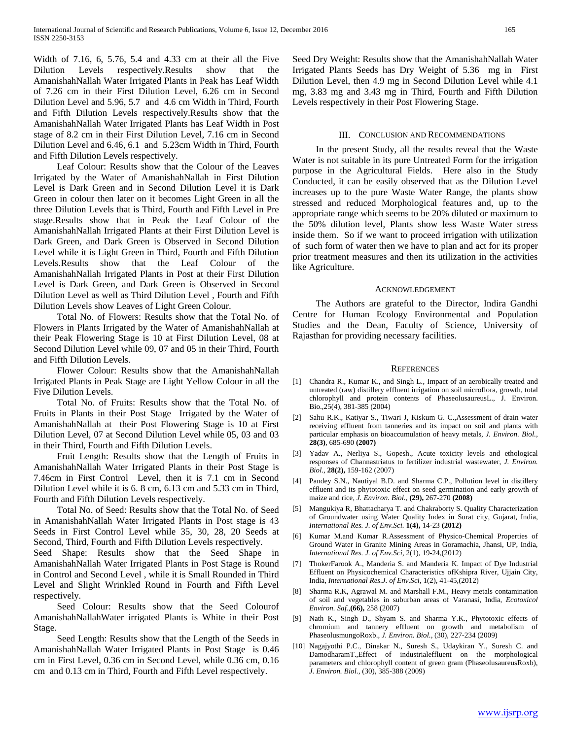Width of 7.16, 6, 5.76, 5.4 and 4.33 cm at their all the Five Dilution Levels respectively.Results show that the AmanishahNallah Water Irrigated Plants in Peak has Leaf Width of 7.26 cm in their First Dilution Level, 6.26 cm in Second Dilution Level and 5.96, 5.7 and 4.6 cm Width in Third, Fourth and Fifth Dilution Levels respectively.Results show that the AmanishahNallah Water Irrigated Plants has Leaf Width in Post stage of 8.2 cm in their First Dilution Level, 7.16 cm in Second Dilution Level and 6.46, 6.1 and 5.23cm Width in Third, Fourth and Fifth Dilution Levels respectively.

 Leaf Colour: Results show that the Colour of the Leaves Irrigated by the Water of AmanishahNallah in First Dilution Level is Dark Green and in Second Dilution Level it is Dark Green in colour then later on it becomes Light Green in all the three Dilution Levels that is Third, Fourth and Fifth Level in Pre stage.Results show that in Peak the Leaf Colour of the AmanishahNallah Irrigated Plants at their First Dilution Level is Dark Green, and Dark Green is Observed in Second Dilution Level while it is Light Green in Third, Fourth and Fifth Dilution Levels.Results show that the Leaf Colour of the AmanishahNallah Irrigated Plants in Post at their First Dilution Level is Dark Green, and Dark Green is Observed in Second Dilution Level as well as Third Dilution Level , Fourth and Fifth Dilution Levels show Leaves of Light Green Colour.

 Total No. of Flowers: Results show that the Total No. of Flowers in Plants Irrigated by the Water of AmanishahNallah at their Peak Flowering Stage is 10 at First Dilution Level, 08 at Second Dilution Level while 09, 07 and 05 in their Third, Fourth and Fifth Dilution Levels.

 Flower Colour: Results show that the AmanishahNallah Irrigated Plants in Peak Stage are Light Yellow Colour in all the Five Dilution Levels.

 Total No. of Fruits: Results show that the Total No. of Fruits in Plants in their Post Stage Irrigated by the Water of AmanishahNallah at their Post Flowering Stage is 10 at First Dilution Level, 07 at Second Dilution Level while 05, 03 and 03 in their Third, Fourth and Fifth Dilution Levels.

 Fruit Length: Results show that the Length of Fruits in AmanishahNallah Water Irrigated Plants in their Post Stage is 7.46cm in First Control Level, then it is 7.1 cm in Second Dilution Level while it is 6. 8 cm, 6.13 cm and 5.33 cm in Third, Fourth and Fifth Dilution Levels respectively.

 Total No. of Seed: Results show that the Total No. of Seed in AmanishahNallah Water Irrigated Plants in Post stage is 43 Seeds in First Control Level while 35, 30, 28, 20 Seeds at Second, Third, Fourth and Fifth Dilution Levels respectively.

Seed Shape: Results show that the Seed Shape in AmanishahNallah Water Irrigated Plants in Post Stage is Round in Control and Second Level , while it is Small Rounded in Third Level and Slight Wrinkled Round in Fourth and Fifth Level respectively.

 Seed Colour: Results show that the Seed Colourof AmanishahNallahWater irrigated Plants is White in their Post Stage.

 Seed Length: Results show that the Length of the Seeds in AmanishahNallah Water Irrigated Plants in Post Stage is 0.46 cm in First Level, 0.36 cm in Second Level, while 0.36 cm, 0.16 cm and 0.13 cm in Third, Fourth and Fifth Level respectively.

Seed Dry Weight: Results show that the AmanishahNallah Water Irrigated Plants Seeds has Dry Weight of 5.36 mg in First Dilution Level, then 4.9 mg in Second Dilution Level while 4.1 mg, 3.83 mg and 3.43 mg in Third, Fourth and Fifth Dilution Levels respectively in their Post Flowering Stage.

### III. CONCLUSION AND RECOMMENDATIONS

 In the present Study, all the results reveal that the Waste Water is not suitable in its pure Untreated Form for the irrigation purpose in the Agricultural Fields. Here also in the Study Conducted, it can be easily observed that as the Dilution Level increases up to the pure Waste Water Range, the plants show stressed and reduced Morphological features and, up to the appropriate range which seems to be 20% diluted or maximum to the 50% dilution level, Plants show less Waste Water stress inside them. So if we want to proceed irrigation with utilization of such form of water then we have to plan and act for its proper prior treatment measures and then its utilization in the activities like Agriculture.

#### ACKNOWLEDGEMENT

 The Authors are grateful to the Director, Indira Gandhi Centre for Human Ecology Environmental and Population Studies and the Dean, Faculty of Science, University of Rajasthan for providing necessary facilities.

#### **REFERENCES**

- [1] Chandra R., Kumar K., and Singh L., Impact of an aerobically treated and untreated (raw) distillery effluent irrigation on soil microflora, growth, total chlorophyll and protein contents of PhaseolusaureusL., J. Environ. Bio.,25(4), 381-385 (2004)
- [2] Sahu R.K., Katiyar S., Tiwari J, Kiskum G. C.,Assessment of drain water receiving effluent from tanneries and its impact on soil and plants with particular emphasis on bioaccumulation of heavy metals, *J. Environ. Biol.,*  **28(3)**, 685-690 **(2007)**
- [3] Yadav A., Nerliya S., Gopesh., Acute toxicity levels and ethological responses of Channastriatus to fertilizer industrial wastewater, *J. Environ. Biol.,* **28(2),** 159-162 (2007)
- [4] Pandey S.N., Nautiyal B.D. and Sharma C.P., Pollution level in distillery effluent and its phytotoxic effect on seed germination and early growth of maize and rice, *J. Environ. Biol.,* **(29),** 267-270 **(2008)**
- [5] Mangukiya R, Bhattacharya T. and Chakraborty S. Quality Characterization of Groundwater using Water Quality Index in Surat city, Gujarat, India, *International Res. J. of Env.Sci.* **1(4),** 14-23 **(2012)**
- [6] Kumar M.and Kumar R.Assessment of Physico-Chemical Properties of Ground Water in Granite Mining Areas in Goramachia, Jhansi, UP, India, *International Res. J. of Env.Sci*, 2(1), 19-24,(2012)
- [7] ThokerFarook A., Manderia S. and Manderia K. Impact of Dye Industrial Effluent on Physicochemical Characteristics ofKshipra River, Ujjain City, India, *International Res.J. of Env.Sci*, 1(2), 41-45,(2012)
- [8] Sharma R.K, Agrawal M. and Marshall F.M., Heavy metals contamination of soil and vegetables in suburban areas of Varanasi, India, *Ecotoxicol Environ. Saf.,***(66),** 258 (2007)
- [9] Nath K., Singh D., Shyam S. and Sharma Y.K., Phytotoxic effects of chromium and tannery effluent on growth and metabolism of PhaseolusmungoRoxb., *J. Environ. Biol.,* (30), 227-234 (2009)
- [10] Nagajyothi P.C., Dinakar N., Suresh S., Udaykiran Y., Suresh C. and DamodharamT.,Effect of industrialeffluent on the morphological parameters and chlorophyll content of green gram (PhaseolusaureusRoxb), *J. Environ. Biol.,* (30), 385-388 (2009)